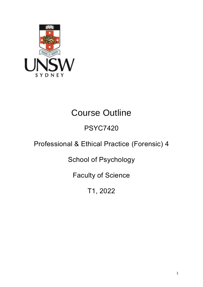

# Course Outline

## PSYC7420

## Professional & Ethical Practice (Forensic) 4

School of Psychology

Faculty of Science

T1, 2022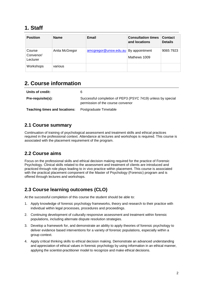### **1. Staff**

| <b>Position</b>                 | <b>Name</b>    | Email                                | <b>Consultation times</b><br>and locations | <b>Contact</b><br><b>Details</b> |
|---------------------------------|----------------|--------------------------------------|--------------------------------------------|----------------------------------|
| Course<br>Convenor/<br>Lecturer | Anita McGregor | amcgregor@unsw.edu.au By appointment | Mathews 1009                               | 9065 7923                        |
| Workshops                       | various        |                                      |                                            |                                  |

## **2. Course information**

| Units of credit:                     | 6                                                                                                |
|--------------------------------------|--------------------------------------------------------------------------------------------------|
| <b>Pre-requisite(s):</b>             | Successful completion of PEP3 (PSYC 7419) unless by special<br>permission of the course convenor |
| <b>Teaching times and locations:</b> | Postgraduate Timetable                                                                           |

#### **2.1 Course summary**

Continuation of training of psychological assessment and treatment skills and ethical practices required in the professional context. Attendance at lectures and workshops is required. This course is associated with the placement requirement of the program.

#### **2.2 Course aims**

Focus on the professional skills and ethical decision making required for the practice of Forensic Psychology. Clinical skills related to the assessment and treatment of clients are introduced and practiced through role plays leading to in vivo practice within placement. This course is associated with the practical placement component of the Master of Psychology (Forensic) program and is offered through lectures and workshops.

#### **2.3 Course learning outcomes (CLO)**

At the successful completion of this course the student should be able to:

- 1. Apply knowledge of forensic psychology frameworks, theory and research to their practice with individual within legal processes, procedures and proceedings.
- 2. Continuing development of culturally responsive assessment and treatment within forensic populations, including alternate dispute resolution strategies.
- 3. Develop a framework for, and demonstrate an ability to apply theories of forensic psychology to deliver evidence based interventions for a variety of forensic populations, especially within a group context.
- 4. Apply critical thinking skills to ethical decision making. Demonstrate an advanced understanding and appreciation of ethical values in forensic psychology by using information in an ethical manner, applying the scientist-practitioner model to recognize and make ethical decisions.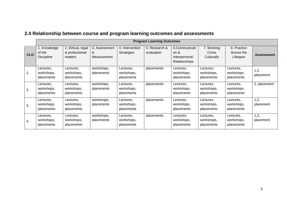|            | <b>Program Learning Outcomes</b>            |                                                |                                   |                                       |                             |                                                            |                                       |                                       |                   |
|------------|---------------------------------------------|------------------------------------------------|-----------------------------------|---------------------------------------|-----------------------------|------------------------------------------------------------|---------------------------------------|---------------------------------------|-------------------|
| <b>CLO</b> | 1. Knowledge<br>of the<br><b>Discipline</b> | 2. Ethical, legal<br>& professional<br>matters | 3. Assessment<br>&<br>Measurement | 4. Intervention<br><b>Strategies</b>  | 5. Research &<br>evaluation | 6.Communicati<br>on $\&$<br>Interpersonal<br>Relationships | 7. Working<br>Cross<br>Culturally     | 8. Practice<br>Across the<br>Lifespan | <b>Assessment</b> |
| 1.         | Lectures.<br>workshops,<br>placements       | Lectures,<br>workshops,<br>placements          | workshops,<br>placements          | Lectures,<br>workshops,<br>placements | placements                  | Lectures,<br>workshops,<br>placements                      | Lectures.<br>workshops,<br>placements | Lectures,<br>workshops,<br>placements | 1,2,<br>placement |
| 2.         | Lectures.<br>workshops,<br>placements       | Lectures,<br>workshops,<br>placements          | workshops,<br>placements          | Lectures,<br>workshops,<br>placements | placements                  | Lectures,<br>workshops,<br>placements                      | Lectures.<br>workshops,<br>placements | Lectures,<br>workshops,<br>placements | 2, placement      |
| 3.         | Lectures,<br>workshops,<br>placements       | Lectures,<br>workshops,<br>placements          | workshops,<br>placements          | Lectures,<br>workshops,<br>placements | placements                  | Lectures,<br>workshops,<br>placements                      | Lectures,<br>workshops,<br>placements | Lectures,<br>workshops,<br>placements | 1,2,<br>placement |
| 4.         | Lectures,<br>workshops,<br>placements       | Lectures,<br>workshops,<br>placements          | workshops,<br>placements          | Lectures,<br>workshops,<br>placements | placements                  | Lectures,<br>workshops,<br>placements                      | Lectures,<br>workshops,<br>placements | Lectures,<br>workshops,<br>placements | 1,2,<br>placement |

## **2.4 Relationship between course and program learning outcomes and assessments**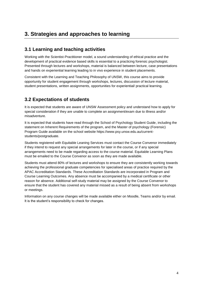## **3. Strategies and approaches to learning**

#### **3.1 Learning and teaching activities**

Working with the Scientist-Practitioner model, a sound understanding of ethical practice and the development of practical evidence based skills is essential to a practicing forensic psychologist. Presented through lectures and workshops, material is balanced between lecture, case presentations and hands on experiential learning leading to in vivo experience in student placements.

Consistent with the Learning and Teaching Philosophy of UNSW, this course aims to provide opportunity for student engagement through workshops, lectures, discussion of lecture material, student presentations, written assignments, opportunities for experiential/ practical learning.

#### **3.2 Expectations of students**

It is expected that students are aware of UNSW Assessment policy and understand how to apply for special consideration if they are unable to complete an assignment/exam due to illness and/or misadventure.

It is expected that students have read through the School of Psychology Student Guide, including the statement on Inherent Requirements of the program, and the Master of psychology (Forensic) Program Guide available on the school website https://www.psy.unsw.edu.au/currentstudents/postgraduate.

Students registered with Equitable Leaning Services must contact the Course Convenor immediately if they intend to request any special arrangements for later in the course, or if any special arrangements need to be made regarding access to the course material. Equitable Learning Plans must be emailed to the Course Convenor as soon as they are made available.

Students must attend 80% of lectures and workshops to ensure they are consistently working towards achieving the professional graduate competencies for specialised areas of practice required by the APAC Accreditation Standards. These Accreditation Standards are incorporated in Program and Course Learning Outcomes. Any absence must be accompanied by a medical certificate or other reason for absence. Additional self-study material may be assigned by the Course Convenor to ensure that the student has covered any material missed as a result of being absent from workshops or meetings.

Information on any course changes will be made available either on Moodle, Teams and/or by email. It is the student's responsibility to check for changes.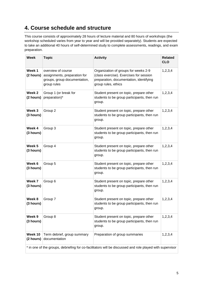## **4. Course schedule and structure**

This course consists of approximately 28 hours of lecture material and 80 hours of workshops (the workshop scheduled varies from year to year and will be provided separately). Students are expected to take an additional 40 hours of self-determined study to complete assessments, readings, and exam preparation.

| <b>Week</b>                                                                                              | <b>Topic</b>                                                                                      | <b>Activity</b>                                                                                                                                   | <b>Related</b><br><b>CLO</b> |  |
|----------------------------------------------------------------------------------------------------------|---------------------------------------------------------------------------------------------------|---------------------------------------------------------------------------------------------------------------------------------------------------|------------------------------|--|
| Week 1<br>(2 hours)                                                                                      | overview of course<br>assignments, preparation for<br>groups, group documentation,<br>group rules | Organization of groups for weeks 2-9<br>(class exercise). Exercises for session<br>preparation, documentation, identifying<br>group rules, ethics | 1, 2, 3, 4                   |  |
| Week 2<br>(2 hours)                                                                                      | Group 1 (or break for<br>preparation)*                                                            | Student present on topic, prepare other<br>students to be group participants, then run<br>group.                                                  | 1,2,3,4                      |  |
| Week 3<br>(3 hours)                                                                                      | Group 2                                                                                           | Student present on topic, prepare other<br>students to be group participants, then run<br>group.                                                  | 1,2,3,4                      |  |
| Week 4<br>(3 hours)                                                                                      | Group 3                                                                                           | Student present on topic, prepare other<br>students to be group participants, then run<br>group.                                                  | 1,2,3,4                      |  |
| Week 5<br>(3 hours)                                                                                      | Group 4                                                                                           | Student present on topic, prepare other<br>students to be group participants, then run<br>group.                                                  | 1,2,3,4                      |  |
| Week 6<br>(3 hours)                                                                                      | Group 5                                                                                           | Student present on topic, prepare other<br>students to be group participants, then run<br>group.                                                  | 1,2,3,4                      |  |
| Week 7<br>(3 hours)                                                                                      | Group 6                                                                                           | Student present on topic, prepare other<br>students to be group participants, then run<br>group.                                                  | 1,2,3,4                      |  |
| Week 8<br>(3 hours)                                                                                      | Group 7                                                                                           | Student present on topic, prepare other<br>students to be group participants, then run<br>group.                                                  | 1,2,3,4                      |  |
| Week 9<br>(3 hours)                                                                                      | Group 8                                                                                           | Student present on topic, prepare other<br>students to be group participants, then run<br>group.                                                  | 1,2,3,4                      |  |
| Week 10<br>(2 hours)                                                                                     | Term debrief, group summary<br>documentation                                                      | Preparation of group summaries                                                                                                                    | 1,2,3,4                      |  |
| * in one of the groups, debriefing for co-facilitators will be discussed and role played with supervisor |                                                                                                   |                                                                                                                                                   |                              |  |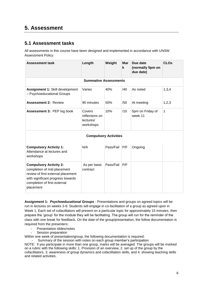### **5. Assessment**

#### **5.1 Assessment tasks**

All assessments in this course have been designed and implemented in accordance with UNSW Assessment Policy.

| <b>Assessment task</b>                                                                                                                                                               | Length                                             | Weight    | Mar<br>k | Due date<br>(normally 5pm on<br>due date) | <b>CLOs</b>  |  |
|--------------------------------------------------------------------------------------------------------------------------------------------------------------------------------------|----------------------------------------------------|-----------|----------|-------------------------------------------|--------------|--|
|                                                                                                                                                                                      | <b>Summative Assessments</b>                       |           |          |                                           |              |  |
| Assignment 1: Skill development<br>- Psychoeducational Groups                                                                                                                        | Varies                                             | 40%       | /40      | As noted                                  | 1,3,4        |  |
| <b>Assessment 2: Review</b>                                                                                                                                                          | 90 minutes                                         | 50%       | /50      | At meeting                                | 1,2,3        |  |
| Assessment 3: PEP log book                                                                                                                                                           | Covers<br>reflections on<br>lectures/<br>workshops | 10%       | /10      | 5pm on Friday of<br>week 11               | $\mathbf{1}$ |  |
|                                                                                                                                                                                      | <b>Compulsory Activities</b>                       |           |          |                                           |              |  |
| <b>Compulsory Activity 1:</b><br>Attendance at lectures and<br>workshops                                                                                                             | N/A                                                | Pass/Fail | P/F      | Ongoing                                   |              |  |
| <b>Compulsory Activity 2:</b><br>completion of mid placement<br>review of first external placement<br>with significant progress towards<br>completion of first external<br>placement | As per basic<br>contract                           | Pass/Fail | P/F      |                                           |              |  |

**Assignment 1:** *Psychoeducational Groups* - Presentations and groups on agreed topics will be run in lectures on weeks 3-9. Students will engage in co-facilitation of a group as agreed upon in Week 1. Each set of cofacilitators will present on a particular topic for approximately 15 minutes, then prepare the 'group' for the module they will be facilitating. The group will run for the reminder of the class with one break for feedback. On the date of the group/presentation, the follow documentation is required from the presenters:

- Presentation slides/notes
- Session preparation
- Within one week of presentation/group, the following documentation is required:

Summary of the session with notes on each group member's participation NOTE: if you participate in more than one group, marks will be averaged. The groups will be marked on a rubric with the following skills: 1. Provision of an overview, 2. set up of the group by the cofacilitators, 3. awareness of group dynamics and cofacilitation skills, and 4. showing teaching skills and related activities.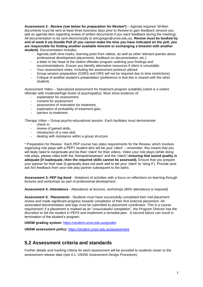**Assessment 2:** *Review (see below for preparation for Review\*)* – Agenda required. Written documents must be sent at least three business days prior to Review to gain feedback (ensure you add an agenda item regarding review of written documents if you want feedback during the meeting). All documentation to be sent electronically to amcgregor@unsw.edu.au. **Review must be booked by end of week 9 via Doodle Poll (if you cannot make the time you have indicated on the poll, you are responsible for finding another available timeslot or exchanging a timeslot with another student)**. Documentation includes:

- Agenda (with time marks, learning point from videos, as well as other relevant queries about professional development placements, feedback on documentation, etc.)
- a letter to the head of the violent offender program outlining your findings and recommendations. Ensure you identify alternative resources if client is unsuitable.
- Your assessment notes, including the assessment protocol utilized
- Group session preparation (GSRS and ORS will not be required due to time restrictions)
- Critique of another student's presentation (preference is that this is shared with the other student)

*Assessment Video –* Specialized assessment for treatment program suitability (client is a violent offender with moderate/high levels of psychopathy). Must show evidence of:

- explanation for assessment,
- consent for assessment
- assessment of motivation for treatment,
- exploration of probability of treatment gain,
- barriers to treatment.

*Therapy Video* – Group psycho-educational session. Each facilitator must demonstrate:

- check in.
- review of gained skills,<br>- introduction of a new sl
- introduction of a new skill,
- dealing with resistance within a group structure.

\* Preparation for Review: Each PEP course has video requirements for the Review, which involves organizing role plays with a PEP1 student who will be your 'client' – remember, this means that you will likely need to reciprocate and be their 'client' for their videos. Video your role plays (while doing role plays, please video both the 'therapist/assessor' and the 'client') **ensuring that sound quality is adequate (if inadequate, then the required skills cannot be assessed).** Ensure that you prepare your partner for their task (it generally does not work well to tell your 'client' to "wing it"). Provide (and ask for) feedback from your role play partner subsequent to the tasks.

**Assessment 3:** *PEP log book* - Notations of activities with a focus on reflections on learning through lectures and workshops as part of professional development.

**Assessment 4:** *Attendance -* Attendance at lectures, workshops (80% attendance is required)

**Assessment 5:** *Placements* - Students must have successfully completed their mid placement review and made significant progress towards completion of their first external placement. All associated documentation and logs must be submitted to placement coordinator. This is a course requirement; if a placement is marked as an "unsuccessful completion", the Program Director has the discretion to fail the student in PEP4 and implement a remedial plan. A second failure can result in termination of the student's program.

**UNSW grading system:** <https://student.unsw.edu.au/grades>

**UNSW assessment policy:** <https://student.unsw.edu.au/assessment>

#### **5.2 Assessment criteria and standards**

Further details and marking criteria for each assessment will be provided to students closer to the assessment release date (see 4.1: UNSW Assessment Design Procedure).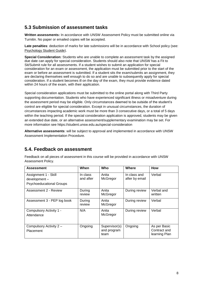#### **5.3 Submission of assessment tasks**

**Written assessments:** In accordance with UNSW Assessment Policy must be submitted online via Turnitin. No paper or emailed copies will be accepted.

**Late penalties**: deduction of marks for late submissions will be in accordance with School policy (see: [Psychology Student Guide\)](https://moodle.telt.unsw.edu.au/mod/resource/view.php?id=1630526).

**Special Consideration:** Students who are unable to complete an assessment task by the assigned due date can apply for special consideration. Students should also note that UNSW has a Fit to Sit/Submit rule for all assessments. If a student wishes to submit an application for special consideration for an exam or assessment, the application must be submitted prior to the start of the exam or before an assessment is submitted. If a student sits the exam/submits an assignment, they are declaring themselves well enough to do so and are unable to subsequently apply for special consideration. If a student becomes ill on the day of the exam, they must provide evidence dated within 24 hours of the exam, with their application.

Special consideration applications must be submitted to the online portal along with Third Party supporting documentation. Students who have experienced significant illness or misadventure during the assessment period may be eligible. Only circumstances deemed to be outside of the student's control are eligible for special consideration. Except in unusual circumstances, the duration of circumstances impacting academic work must be more than 3 consecutive days, or a total of 5 days within the teaching period. If the special consideration application is approved, students may be given an extended due date, or an alternative assessment/supplementary examination may be set. For more information see https://student.unsw.edu.au/special-consideration

**Alternative assessments**: will be subject to approval and implemented in accordance with UNSW Assessment Implementation Procedure.

#### **5.4. Feedback on assessment**

Feedback on all pieces of assessment in this course will be provided in accordance with UNSW Assessment Policy.

| <b>Assessment</b>                                                       | When                  | Who                                  | Where                          | <b>How</b>                                    |
|-------------------------------------------------------------------------|-----------------------|--------------------------------------|--------------------------------|-----------------------------------------------|
| Assignment 1 - Skill<br>development-<br><b>Psychoeducational Groups</b> | In class<br>and after | Anita<br>McGregor                    | In class and<br>after by email | Verbal                                        |
| Assessment 2 - Review                                                   | During<br>review      | Anita<br>McGregor                    | During review                  | Verbal and<br>written                         |
| Assessment 3 - PEP log book                                             | During<br>review      | Anita<br>McGregor                    | During review                  | Verbal                                        |
| Compulsory Activity 1 -<br>Attendance                                   | N/A                   | Anita<br>McGregor                    | During review                  | Verbal                                        |
| Compulsory Activity 2 -<br>Placement                                    | Ongoing               | Supervisor(s)<br>and program<br>team | Ongoing                        | As per Basic<br>Contract and<br>learning Plan |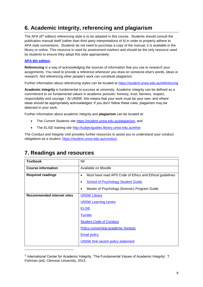## **6. Academic integrity, referencing and plagiarism**

The APA (6<sup>th</sup> edition) referencing style is to be adopted in this course. Students should consult the publication manual itself (rather than third party interpretations of it) in order to properly adhere to APA style conventions. Students do not need to purchase a copy of the manual, it is available in the library or online. This resource is used by assessment markers and should be the only resource used by students to ensure they adopt this style appropriately:

#### **[APA 6th edition.](http://www.apastyle.org/manual/index.aspx)**

l

**Referencing** is a way of acknowledging the sources of information that you use to research your assignments. You need to provide a reference whenever you draw on someone else's words, ideas or research. Not referencing other people's work can constitute plagiarism.

Further information about referencing styles can be located at <https://student.unsw.edu.au/referencing>

**Academic integrity** is fundamental to success at university. Academic integrity can be defined as a commitment to six fundamental values in academic pursuits**:** honesty, trust, fairness, respect, responsibility and courage.*<sup>1</sup>* At UNSW, this means that your work must be your own, and others' ideas should be appropriately acknowledged. If you don't follow these rules, plagiarism may be detected in your work.

Further information about academic integrity and **plagiarism** can be located at:

- The *Current Students* site <https://student.unsw.edu.au/plagiarism>*,* and
- The *ELISE* training site <http://subjectguides.library.unsw.edu.au/elise>

The *Conduct and Integrity Unit* provides further resources to assist you to understand your conduct obligations as a student: [https://student.unsw.edu.au/conduct.](https://student.unsw.edu.au/conduct)

| <b>Textbook</b>                   | Nil                                                                   |
|-----------------------------------|-----------------------------------------------------------------------|
| <b>Course information</b>         | Available on Moodle                                                   |
| <b>Required readings</b>          | Must have read APS Code of Ethics and Ethical guidelines<br>$\bullet$ |
|                                   | School of Psychology Student Guide.<br>٠                              |
|                                   | Master of Psychology (forensic) Program Guide<br>$\bullet$            |
| <b>Recommended internet sites</b> | <b>UNSW Library</b>                                                   |
|                                   | <b>UNSW Learning centre</b>                                           |
|                                   | <b>ELISE</b>                                                          |
|                                   | <b>Turnitin</b>                                                       |
|                                   | <b>Student Code of Conduct</b>                                        |
|                                   | Policy concerning academic honesty                                    |
|                                   | <b>Email policy</b>                                                   |
|                                   | <b>UNSW Anti-racism policy statement</b>                              |

## **7. Readings and resources**

 $^{\text{1}}$  International Center for Academic Integrity, 'The Fundamental Values of Academic Integrity', T. Fishman (ed), Clemson University, 2013.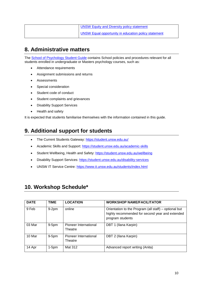| <b>UNSW Equity and Diversity policy statement</b>    |
|------------------------------------------------------|
| UNSW Equal opportunity in education policy statement |

## **8. Administrative matters**

The **School of Psychology Student Guide** contains School policies and procedures relevant for all students enrolled in undergraduate or Masters psychology courses, such as:

- Attendance requirements
- Assignment submissions and returns
- Assessments
- Special consideration
- Student code of conduct
- Student complaints and grievances
- Disability Support Services
- Health and safety

It is expected that students familiarise themselves with the information contained in this guide.

## **9. Additional support for students**

- The Current Students Gateway:<https://student.unsw.edu.au/>
- Academic Skills and Support:<https://student.unsw.edu.au/academic-skills>
- Student Wellbeing, Health and Safety: https://student.unsw.edu.au/wellbeing
- Disability Support Services: <https://student.unsw.edu.au/disability-services>
- UNSW IT Service Centre:<https://www.it.unsw.edu.au/students/index.html>

#### **10. Workshop Schedule\***

| <b>DATE</b> | <b>TIME</b> | <b>LOCATION</b>                  | <b>WORKSHOP NAME/FACILITATOR</b>                                                                                             |
|-------------|-------------|----------------------------------|------------------------------------------------------------------------------------------------------------------------------|
| 9 Feb       | $9-2pm$     | online                           | Orientation to the Program (all staff) – optional but<br>highly recommended for second year and extended<br>program students |
| 03 Mar      | $9-5pm$     | Pioneer International<br>Theatre | DBT 1 (Ilana Karpin)                                                                                                         |
| 10 Mar      | $9-5pm$     | Pioneer International<br>Theatre | DBT 2 (Ilana Karpin)                                                                                                         |
| 14 Apr      | $1-5pm$     | Mat 312                          | Advanced report writing (Anita)                                                                                              |